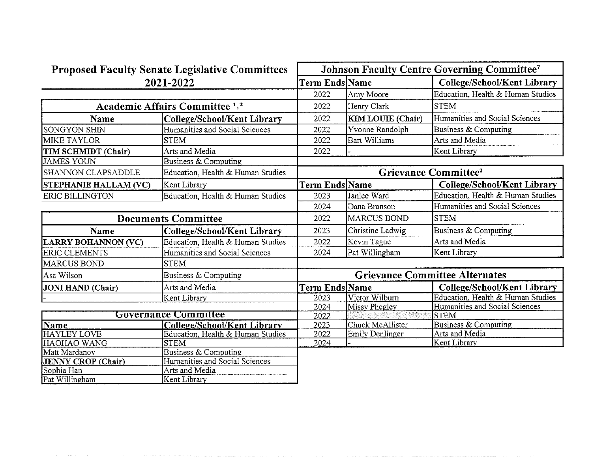| <b>Proposed Faculty Senate Legislative Committees</b> |                                    | <b>Johnson Faculty Centre Governing Committee7</b> |                          |                                    |
|-------------------------------------------------------|------------------------------------|----------------------------------------------------|--------------------------|------------------------------------|
| 2021-2022                                             |                                    | Term Ends Name                                     |                          | <b>College/School/Kent Library</b> |
|                                                       |                                    | 2022                                               | Amy Moore                | Education, Health & Human Studies  |
| Academic Affairs Committee <sup>1,2</sup>             |                                    | 2022                                               | Henry Clark              | <b>STEM</b>                        |
| Name                                                  | <b>College/School/Kent Library</b> | 2022                                               | <b>KIM LOUIE</b> (Chair) | Humanities and Social Sciences     |
| <b>SONGYON SHIN</b>                                   | Humanities and Social Sciences     | 2022                                               | Yvonne Randolph          | Business & Computing               |
| <b>MIKE TAYLOR</b>                                    | <b>STEM</b>                        | 2022                                               | <b>Bart Williams</b>     | Arts and Media                     |
| TIM SCHMIDT (Chair)                                   | Arts and Media                     | 2022                                               |                          | Kent Library                       |
| <b>JAMES YOUN</b>                                     | Business & Computing               |                                                    |                          |                                    |
| <b>SHANNON CLAPSADDLE</b>                             | Education, Health & Human Studies  | Grievance Committee <sup>2</sup>                   |                          |                                    |
| <b>STEPHANIE HALLAM (VC)</b>                          | Kent Library                       | Term Ends Name                                     |                          | College/School/Kent Library        |
| <b>ERIC BILLINGTON</b>                                | Education, Health & Human Studies  | 2023                                               | Janice Ward              | Education, Health & Human Studies  |
|                                                       |                                    | 2024                                               | Dana Branson             | Humanities and Social Sciences     |
| <b>Documents Committee</b>                            |                                    | 2022                                               | <b>MARCUS BOND</b>       | <b>STEM</b>                        |
| Name                                                  | College/School/Kent Library        | 2023                                               | Christine Ladwig         | Business & Computing               |
| <b>LARRY BOHANNON (VC)</b>                            | Education, Health & Human Studies  | 2022                                               | Kevin Tague              | Arts and Media                     |
| <b>ERIC CLEMENTS</b>                                  | Humanities and Social Sciences     | 2024                                               | Pat Willingham           | Kent Library                       |
| <b>MARCUS BOND</b>                                    | <b>STEM</b>                        |                                                    |                          |                                    |
| Asa Wilson                                            | Business & Computing               | <b>Grievance Committee Alternates</b>              |                          |                                    |
| JONI HAND (Chair)                                     | Arts and Media                     | <b>Term Ends Name</b>                              |                          | College/School/Kent Library        |
|                                                       | Kent Library                       | 2023                                               | Victor Wilburn           | Education, Health & Human Studies  |
|                                                       |                                    | 2024                                               | Missy Phegley            | Humanities and Social Sciences     |
| <b>Governance Committee</b>                           |                                    | 2022                                               |                          | <b>STEM</b>                        |
| Name                                                  | College/School/Kent Library        | 2023                                               | Chuck McAllister         | Business & Computing               |
| <b>HAYLEY LOVE</b>                                    | Education, Health & Human Studies  | 2022                                               | <b>Emily Denlinger</b>   | Arts and Media                     |
| HAOHAO WANG                                           | <b>STEM</b>                        | 2024                                               |                          | Kent Library                       |
| Matt Mardanov                                         | Business & Computing               |                                                    |                          |                                    |
| JENNY CROP (Chair)                                    | Humanities and Social Sciences     |                                                    |                          |                                    |
| Sophia Han                                            | Arts and Media                     |                                                    |                          |                                    |
| Pat Willingham                                        | Kent Library                       |                                                    |                          |                                    |

 $\mathcal{L}(\mathcal{L})$  , we define the constant of the  $\mathcal{L}(\mathcal{L})$  and the constant

and the communication construction and analysis and construction construction and analysis of the construction

 $\mathcal{A}$  and  $\mathcal{A}$  are the set of the set of the set of the set of the set of  $\mathcal{A}$ 

 $\sim$